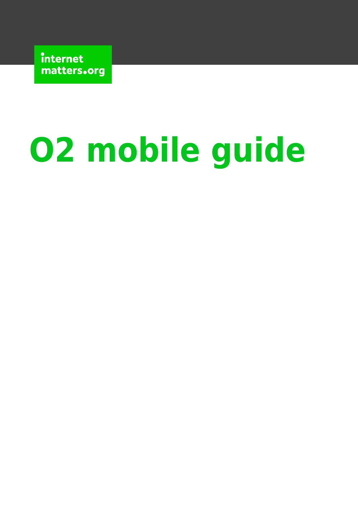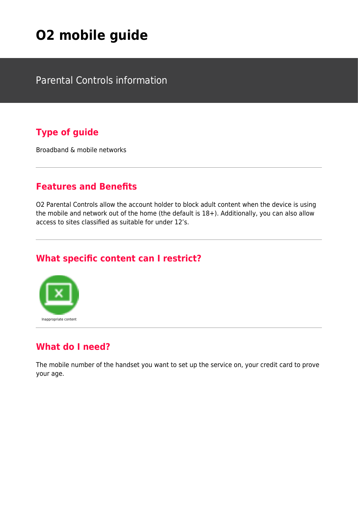Parental Controls information

#### **Type of guide**

Broadband & mobile networks

#### **Features and Benefits**

O2 Parental Controls allow the account holder to block adult content when the device is using the mobile and network out of the home (the default is 18+). Additionally, you can also allow access to sites classified as suitable for under 12's.

#### **What specific content can I restrict?**



#### **What do I need?**

The mobile number of the handset you want to set up the service on, your credit card to prove your age.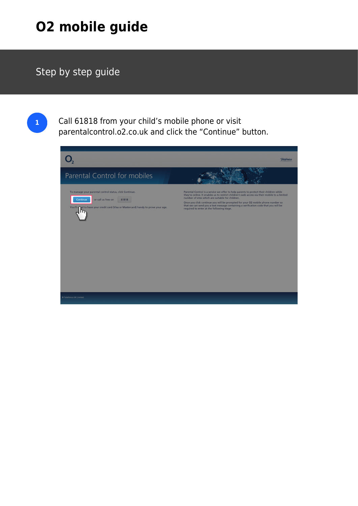### Step by step guide

**1** Call 61818 from your child's mobile phone or visit parentalcontrol.o2.co.uk and click the "Continue" button.

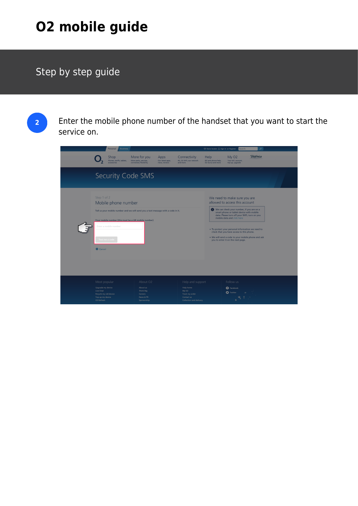## Step by step guide

**2** Enter the mobile phone number of the handset that you want to start the service on.

|                                                                                                                                                                                                                                      | <b>Business</b><br>Personal                      |                                                                          |                                           |                                                                                                                                                                                                                                                                                                                                                                                                                                    | Store locator & Sign in or Register               | Search                                                   | P                 |  |
|--------------------------------------------------------------------------------------------------------------------------------------------------------------------------------------------------------------------------------------|--------------------------------------------------|--------------------------------------------------------------------------|-------------------------------------------|------------------------------------------------------------------------------------------------------------------------------------------------------------------------------------------------------------------------------------------------------------------------------------------------------------------------------------------------------------------------------------------------------------------------------------|---------------------------------------------------|----------------------------------------------------------|-------------------|--|
|                                                                                                                                                                                                                                      | Shop<br>Phones, tariffs, tablets,<br>accessories | More for you<br>More perks, services,<br>connected, flexibility          | Apps<br>Our latest apps.<br>news, reviews | Connectivity<br>4G, O2 Wifi, our network<br>and more                                                                                                                                                                                                                                                                                                                                                                               | Help<br>Bill and phone help,<br>O2 Gurus and more | <b>My O2</b><br>Your bill, account,<br>top up, upgrade   | <b>Telefónica</b> |  |
|                                                                                                                                                                                                                                      |                                                  | Security Code SMS                                                        |                                           |                                                                                                                                                                                                                                                                                                                                                                                                                                    |                                                   |                                                          |                   |  |
| Step 1 of 2<br>Mobile phone number<br>Tell us your mobile number and we will send you a text message with a code in it.<br>Your mobile number (this must be a UK mobile number)<br>Enter a mobile number<br>Text me a code<br>Cancel |                                                  |                                                                          |                                           | We need to make sure you are<br>allowed to access this account<br>We can check your number, if you are on a<br>smart phone or tablet device with mobile<br>data. Please turn off your WiFi, turn on you<br>mobile data and click here<br>• To protect your personal information we need to<br>check that you have access to this phone.<br>• We will send a code to your mobile phone and ask<br>you to enter it on the next page. |                                                   |                                                          |                   |  |
| Most popular<br>Upgrade my device<br>Live Chat<br>Recycle my old device<br>Top up my device<br>O2 Refresh                                                                                                                            |                                                  | About O2<br>About us<br>Think Big<br>Careers<br>News & PR<br>Sponsorship |                                           | Help and support<br><b>Help home</b><br>My O2<br>Track my order<br>Contact us<br>Collection and delivery                                                                                                                                                                                                                                                                                                                           |                                                   | Follow us<br><b>O</b> Facebook<br><b>O</b> Twitter<br>Ġ. |                   |  |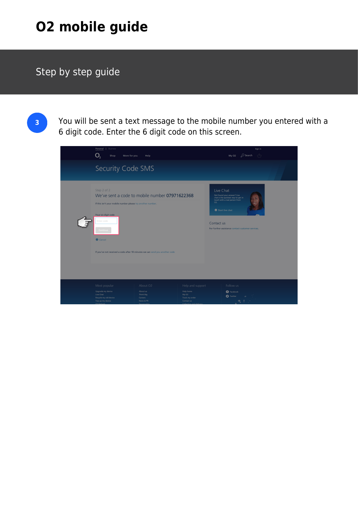## Step by step guide

**3** You will be sent a text message to the mobile number you entered with a 6 digit code. Enter the 6 digit code on this screen.

| <b>Business</b><br>Personal<br>Shop<br>More for you                                                                                   | Help                                                                                                                          |                                                    | D Search<br>My O2                                                                                                                                                                                            | Sign in<br>$\tau^{\triangle}$ |
|---------------------------------------------------------------------------------------------------------------------------------------|-------------------------------------------------------------------------------------------------------------------------------|----------------------------------------------------|--------------------------------------------------------------------------------------------------------------------------------------------------------------------------------------------------------------|-------------------------------|
| Security Code SMS                                                                                                                     |                                                                                                                               |                                                    |                                                                                                                                                                                                              |                               |
| Step 2 of 2<br>If this isn't your mobile number please try another number.<br>Your six digit code<br>Enter code<br>Continue<br>Cancel | We've sent a code to mobile number 07971622368<br>If you've not received a code after 10 minutes we can send you another code |                                                    | Live Chat<br>Not found your answer? Live<br>chat is the quickest way to get in<br>touch with a real person from<br>O2.<br>Start live chat<br>Contact us<br>For further assistance contact customer services. |                               |
| Most popular                                                                                                                          | About O2                                                                                                                      | Help and support                                   | Follow us                                                                                                                                                                                                    |                               |
| Upgrade my device<br>Live Chat<br>Recycle my old device<br>Top up my device                                                           | About us<br>Think Big<br>Careers<br>News & PR                                                                                 | Help home<br>My O2<br>Track my order<br>Contact us | <b>O</b> Facebook<br><b>O</b> Twitter<br>$\mathfrak{m}$<br>$\sim$                                                                                                                                            |                               |